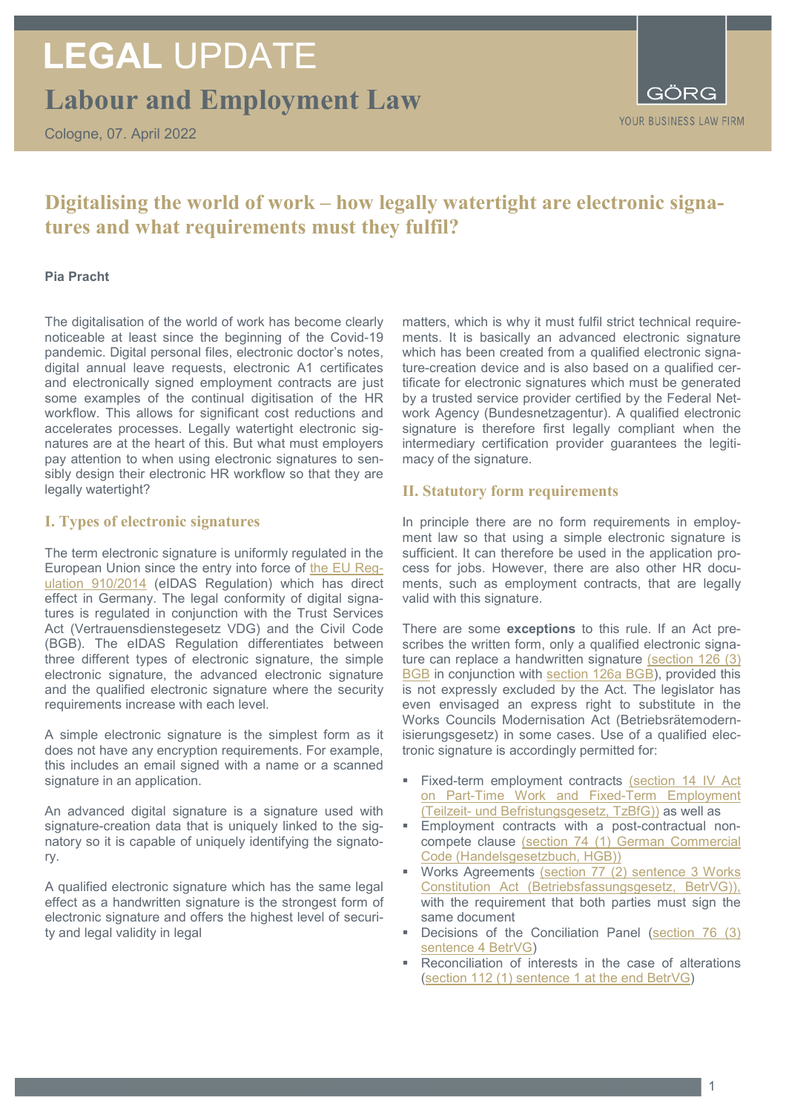# **LEGAL** UPDATE

**Labour and Employment Law**

Cologne, 07. April 2022



### **Digitalising the world of work – how legally watertight are electronic signatures and what requirements must they fulfil?**

#### **Pia Pracht**

The digitalisation of the world of work has become clearly noticeable at least since the beginning of the Covid-19 pandemic. Digital personal files, electronic doctor's notes, digital annual leave requests, electronic A1 certificates and electronically signed employment contracts are just some examples of the continual digitisation of the HR workflow. This allows for significant cost reductions and accelerates processes. Legally watertight electronic signatures are at the heart of this. But what must employers pay attention to when using electronic signatures to sensibly design their electronic HR workflow so that they are legally watertight?

#### **I. Types of electronic signatures**

The term electronic signature is uniformly regulated in the European Union since the entry into force of [the EU](https://eur-lex.europa.eu/legal-content/DE/TXT/?uri=celex%3A32014R0910) Reg[ulation 910/2014](https://eur-lex.europa.eu/legal-content/DE/TXT/?uri=celex%3A32014R0910) (eIDAS Regulation) which has direct effect in Germany. The legal conformity of digital signatures is regulated in conjunction with the Trust Services Act (Vertrauensdienstegesetz VDG) and the Civil Code (BGB). The eIDAS Regulation differentiates between three different types of electronic signature, the simple electronic signature, the advanced electronic signature and the qualified electronic signature where the security requirements increase with each level.

A simple electronic signature is the simplest form as it does not have any encryption requirements. For example, this includes an email signed with a name or a scanned signature in an application.

An advanced digital signature is a signature used with signature-creation data that is uniquely linked to the signatory so it is capable of uniquely identifying the signatory.

A qualified electronic signature which has the same legal effect as a handwritten signature is the strongest form of electronic signature and offers the highest level of security and legal validity in legal

matters, which is why it must fulfil strict technical requirements. It is basically an advanced electronic signature which has been created from a qualified electronic signature-creation device and is also based on a qualified certificate for electronic signatures which must be generated by a trusted service provider certified by the Federal Network Agency (Bundesnetzagentur). A qualified electronic signature is therefore first legally compliant when the intermediary certification provider guarantees the legitimacy of the signature.

#### **II. Statutory form requirements**

In principle there are no form requirements in employment law so that using a simple electronic signature is sufficient. It can therefore be used in the application process for jobs. However, there are also other HR documents, such as employment contracts, that are legally valid with this signature.

There are some **exceptions** to this rule. If an Act prescribes the written form, only a qualified electronic signature can replace a handwritten signature [\(section 126 \(3\)](https://www.gesetze-im-internet.de/bgb/__126.html)  **[BGB](https://www.gesetze-im-internet.de/bgb/__126.html)** in conjunction with [section 126a BGB\)](https://www.gesetze-im-internet.de/bgb/__126a.html), provided this is not expressly excluded by the Act. The legislator has even envisaged an express right to substitute in the Works Councils Modernisation Act (Betriebsrätemodernisierungsgesetz) in some cases. Use of a qualified electronic signature is accordingly permitted for:

- Fixed-term employment contracts (section 14 IV Act [on Part-Time Work and Fixed-Term Employment](https://www.gesetze-im-internet.de/tzbfg/__14.html)  (Teilzeit- [und Befristungsgesetz, TzBfG\)\)](https://www.gesetze-im-internet.de/tzbfg/__14.html) as well as
- Employment contracts with a post-contractual noncompete clause [\(section 74 \(1\) German Commercial](https://www.gesetze-im-internet.de/hgb/__74.html)  [Code \(Handelsgesetzbuch, HGB\)\)](https://www.gesetze-im-internet.de/hgb/__74.html)
- Works Agreements (section 77 (2) sentence 3 Works [Constitution Act \(Betriebsfassungsgesetz, BetrVG\)\),](https://www.gesetze-im-internet.de/betrvg/__77.html) with the requirement that both parties must sign the same document
- Decisions of the Conciliation Panel (section 76 (3) [sentence 4 BetrVG\)](https://www.gesetze-im-internet.de/betrvg/__76.html)
- Reconciliation of interests in the case of alterations [\(section 112 \(1\) sentence 1 at the end](https://www.gesetze-im-internet.de/betrvg/__112.html) BetrVG)